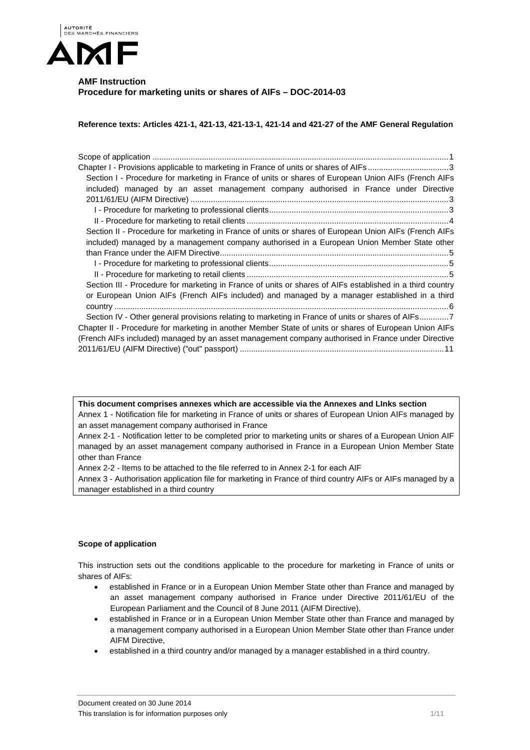

# **AMF Instruction Procedure for marketing units or shares of AIFs – DOC-2014-03**

**Reference texts: Articles 421-1, 421-13, 421-13-1, 421-14 and 421-27 of the AMF General Regulation** 

| Chapter I - Provisions applicable to marketing in France of units or shares of AIFs3                      |
|-----------------------------------------------------------------------------------------------------------|
| Section I - Procedure for marketing in France of units or shares of European Union AIFs (French AIFs      |
| included) managed by an asset management company authorised in France under Directive                     |
|                                                                                                           |
|                                                                                                           |
|                                                                                                           |
| Section II - Procedure for marketing in France of units or shares of European Union AIFs (French AIFs     |
| included) managed by a management company authorised in a European Union Member State other               |
|                                                                                                           |
|                                                                                                           |
|                                                                                                           |
| Section III - Procedure for marketing in France of units or shares of AIFs established in a third country |
| or European Union AIFs (French AIFs included) and managed by a manager established in a third             |
|                                                                                                           |
| Section IV - Other general provisions relating to marketing in France of units or shares of AIFs7         |
| Chapter II - Procedure for marketing in another Member State of units or shares of European Union AIFs    |
| (French AIFs included) managed by an asset management company authorised in France under Directive        |
|                                                                                                           |
|                                                                                                           |

**This document comprises annexes which are accessible via the Annexes and LInks section**  Annex 1 - Notification file for marketing in France of units or shares of European Union AIFs managed by an asset management company authorised in France

Annex 2-1 - Notification letter to be completed prior to marketing units or shares of a European Union AIF managed by an asset management company authorised in France in a European Union Member State other than France

Annex 2-2 - Items to be attached to the file referred to in Annex 2-1 for each AIF

Annex 3 - Authorisation application file for marketing in France of third country AIFs or AIFs managed by a manager established in a third country

# **Scope of application**

This instruction sets out the conditions applicable to the procedure for marketing in France of units or shares of AIFs:

- established in France or in a European Union Member State other than France and managed by an asset management company authorised in France under Directive 2011/61/EU of the European Parliament and the Council of 8 June 2011 (AIFM Directive),
- established in France or in a European Union Member State other than France and managed by a management company authorised in a European Union Member State other than France under AIFM Directive,
- established in a third country and/or managed by a manager established in a third country.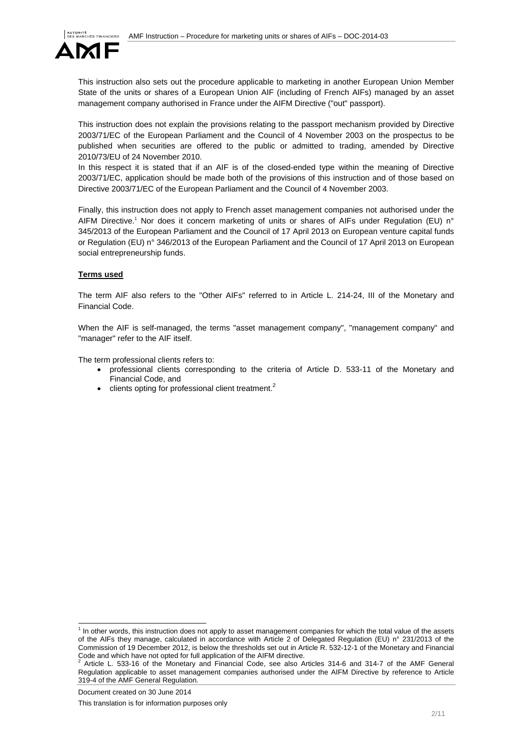

This instruction also sets out the procedure applicable to marketing in another European Union Member State of the units or shares of a European Union AIF (including of French AIFs) managed by an asset management company authorised in France under the AIFM Directive ("out" passport).

This instruction does not explain the provisions relating to the passport mechanism provided by Directive 2003/71/EC of the European Parliament and the Council of 4 November 2003 on the prospectus to be published when securities are offered to the public or admitted to trading, amended by Directive 2010/73/EU of 24 November 2010.

In this respect it is stated that if an AIF is of the closed-ended type within the meaning of Directive 2003/71/EC, application should be made both of the provisions of this instruction and of those based on Directive 2003/71/EC of the European Parliament and the Council of 4 November 2003.

Finally, this instruction does not apply to French asset management companies not authorised under the AIFM Directive.<sup>1</sup> Nor does it concern marketing of units or shares of AIFs under Regulation (EU) n° 345/2013 of the European Parliament and the Council of 17 April 2013 on European venture capital funds or Regulation (EU) n° 346/2013 of the European Parliament and the Council of 17 April 2013 on European social entrepreneurship funds.

## **Terms used**

The term AIF also refers to the "Other AIFs" referred to in Article L. 214-24, III of the Monetary and Financial Code.

When the AIF is self-managed, the terms "asset management company", "management company" and "manager" refer to the AIF itself.

The term professional clients refers to:

- professional clients corresponding to the criteria of Article D. 533-11 of the Monetary and Financial Code, and
- $\bullet$  clients opting for professional client treatment.<sup>2</sup>

 1 In other words, this instruction does not apply to asset management companies for which the total value of the assets of the AIFs they manage, calculated in accordance with Article 2 of Delegated Regulation (EU) n° 231/2013 of the Commission of 19 December 2012, is below the thresholds set out in Article R. 532-12-1 of the Monetary and Financial Code and which have not opted for full application of the AIFM directive.<br> $2.0$  tigle 1. 533.46 of the Menatery and Financial Code, see also 0.

Article L. 533-16 of the Monetary and Financial Code, see also Articles 314-6 and 314-7 of the AMF General Regulation applicable to asset management companies authorised under the AIFM Directive by reference to Article 319-4 of the AMF General Regulation.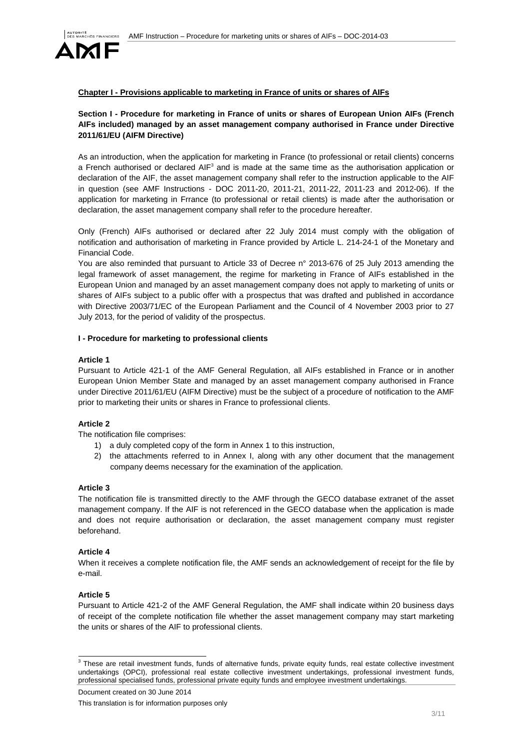

# **Chapter I - Provisions applicable to marketing in France of units or shares of AIFs**

# **Section I - Procedure for marketing in France of units or shares of European Union AIFs (French AIFs included) managed by an asset management company authorised in France under Directive 2011/61/EU (AIFM Directive)**

As an introduction, when the application for marketing in France (to professional or retail clients) concerns a French authorised or declared AIF<sup>3</sup> and is made at the same time as the authorisation application or declaration of the AIF, the asset management company shall refer to the instruction applicable to the AIF in question (see AMF Instructions - DOC 2011-20, 2011-21, 2011-22, 2011-23 and 2012-06). If the application for marketing in Frrance (to professional or retail clients) is made after the authorisation or declaration, the asset management company shall refer to the procedure hereafter.

Only (French) AIFs authorised or declared after 22 July 2014 must comply with the obligation of notification and authorisation of marketing in France provided by Article L. 214-24-1 of the Monetary and Financial Code.

You are also reminded that pursuant to Article 33 of Decree n° 2013-676 of 25 July 2013 amending the legal framework of asset management, the regime for marketing in France of AIFs established in the European Union and managed by an asset management company does not apply to marketing of units or shares of AIFs subject to a public offer with a prospectus that was drafted and published in accordance with Directive 2003/71/EC of the European Parliament and the Council of 4 November 2003 prior to 27 July 2013, for the period of validity of the prospectus.

## **I - Procedure for marketing to professional clients**

#### **Article 1**

Pursuant to Article 421-1 of the AMF General Regulation, all AIFs established in France or in another European Union Member State and managed by an asset management company authorised in France under Directive 2011/61/EU (AIFM Directive) must be the subject of a procedure of notification to the AMF prior to marketing their units or shares in France to professional clients.

## **Article 2**

The notification file comprises:

- 1) a duly completed copy of the form in Annex 1 to this instruction,
- 2) the attachments referred to in Annex I, along with any other document that the management company deems necessary for the examination of the application.

#### **Article 3**

The notification file is transmitted directly to the AMF through the GECO database extranet of the asset management company. If the AIF is not referenced in the GECO database when the application is made and does not require authorisation or declaration, the asset management company must register beforehand.

## **Article 4**

When it receives a complete notification file, the AMF sends an acknowledgement of receipt for the file by e-mail.

## **Article 5**

Pursuant to Article 421-2 of the AMF General Regulation, the AMF shall indicate within 20 business days of receipt of the complete notification file whether the asset management company may start marketing the units or shares of the AIF to professional clients.

 3 These are retail investment funds, funds of alternative funds, private equity funds, real estate collective investment undertakings (OPCI), professional real estate collective investment undertakings, professional investment funds, professional specialised funds, professional private equity funds and employee investment undertakings.

Document created on 30 June 2014

This translation is for information purposes only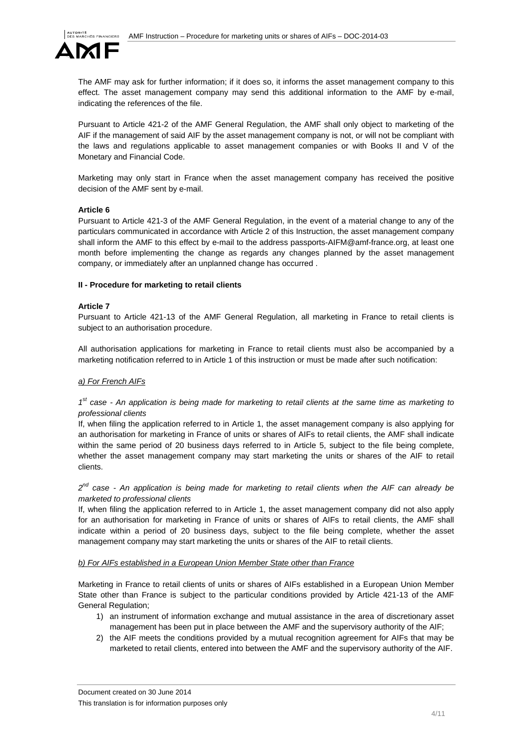

The AMF may ask for further information; if it does so, it informs the asset management company to this effect. The asset management company may send this additional information to the AMF by e-mail, indicating the references of the file.

Pursuant to Article 421-2 of the AMF General Regulation, the AMF shall only object to marketing of the AIF if the management of said AIF by the asset management company is not, or will not be compliant with the laws and regulations applicable to asset management companies or with Books II and V of the Monetary and Financial Code.

Marketing may only start in France when the asset management company has received the positive decision of the AMF sent by e-mail.

## **Article 6**

Pursuant to Article 421-3 of the AMF General Regulation, in the event of a material change to any of the particulars communicated in accordance with Article 2 of this Instruction, the asset management company shall inform the AMF to this effect by e-mail to the address passports-AIFM@amf-france.org, at least one month before implementing the change as regards any changes planned by the asset management company, or immediately after an unplanned change has occurred .

## **II - Procedure for marketing to retail clients**

## **Article 7**

Pursuant to Article 421-13 of the AMF General Regulation, all marketing in France to retail clients is subject to an authorisation procedure.

All authorisation applications for marketing in France to retail clients must also be accompanied by a marketing notification referred to in Article 1 of this instruction or must be made after such notification:

# *a) For French AIFs*

# *1st case - An application is being made for marketing to retail clients at the same time as marketing to professional clients*

If, when filing the application referred to in Article 1, the asset management company is also applying for an authorisation for marketing in France of units or shares of AIFs to retail clients, the AMF shall indicate within the same period of 20 business days referred to in Article 5, subject to the file being complete, whether the asset management company may start marketing the units or shares of the AIF to retail clients.

*2nd case - An application is being made for marketing to retail clients when the AIF can already be marketed to professional clients* 

If, when filing the application referred to in Article 1, the asset management company did not also apply for an authorisation for marketing in France of units or shares of AIFs to retail clients, the AMF shall indicate within a period of 20 business days, subject to the file being complete, whether the asset management company may start marketing the units or shares of the AIF to retail clients.

## *b) For AIFs established in a European Union Member State other than France*

Marketing in France to retail clients of units or shares of AIFs established in a European Union Member State other than France is subject to the particular conditions provided by Article 421-13 of the AMF General Regulation;

- 1) an instrument of information exchange and mutual assistance in the area of discretionary asset management has been put in place between the AMF and the supervisory authority of the AIF;
- 2) the AIF meets the conditions provided by a mutual recognition agreement for AIFs that may be marketed to retail clients, entered into between the AMF and the supervisory authority of the AIF.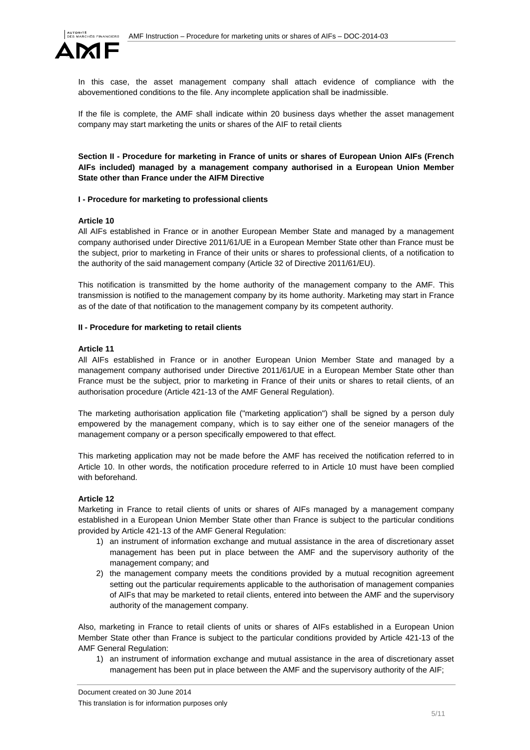

In this case, the asset management company shall attach evidence of compliance with the abovementioned conditions to the file. Any incomplete application shall be inadmissible.

If the file is complete, the AMF shall indicate within 20 business days whether the asset management company may start marketing the units or shares of the AIF to retail clients

**Section II - Procedure for marketing in France of units or shares of European Union AIFs (French AIFs included) managed by a management company authorised in a European Union Member State other than France under the AIFM Directive** 

#### **I - Procedure for marketing to professional clients**

#### **Article 10**

All AIFs established in France or in another European Member State and managed by a management company authorised under Directive 2011/61/UE in a European Member State other than France must be the subject, prior to marketing in France of their units or shares to professional clients, of a notification to the authority of the said management company (Article 32 of Directive 2011/61/EU).

This notification is transmitted by the home authority of the management company to the AMF. This transmission is notified to the management company by its home authority. Marketing may start in France as of the date of that notification to the management company by its competent authority.

#### **II - Procedure for marketing to retail clients**

#### **Article 11**

All AIFs established in France or in another European Union Member State and managed by a management company authorised under Directive 2011/61/UE in a European Member State other than France must be the subject, prior to marketing in France of their units or shares to retail clients, of an authorisation procedure (Article 421-13 of the AMF General Regulation).

The marketing authorisation application file ("marketing application") shall be signed by a person duly empowered by the management company, which is to say either one of the seneior managers of the management company or a person specifically empowered to that effect.

This marketing application may not be made before the AMF has received the notification referred to in Article 10. In other words, the notification procedure referred to in Article 10 must have been complied with beforehand.

## **Article 12**

Marketing in France to retail clients of units or shares of AIFs managed by a management company established in a European Union Member State other than France is subject to the particular conditions provided by Article 421-13 of the AMF General Regulation:

- 1) an instrument of information exchange and mutual assistance in the area of discretionary asset management has been put in place between the AMF and the supervisory authority of the management company; and
- 2) the management company meets the conditions provided by a mutual recognition agreement setting out the particular requirements applicable to the authorisation of management companies of AIFs that may be marketed to retail clients, entered into between the AMF and the supervisory authority of the management company.

Also, marketing in France to retail clients of units or shares of AIFs established in a European Union Member State other than France is subject to the particular conditions provided by Article 421-13 of the AMF General Regulation:

1) an instrument of information exchange and mutual assistance in the area of discretionary asset management has been put in place between the AMF and the supervisory authority of the AIF;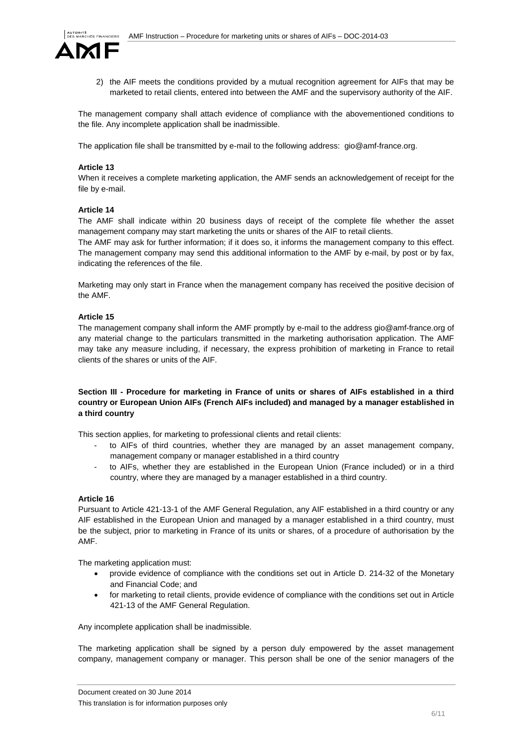

2) the AIF meets the conditions provided by a mutual recognition agreement for AIFs that may be marketed to retail clients, entered into between the AMF and the supervisory authority of the AIF.

The management company shall attach evidence of compliance with the abovementioned conditions to the file. Any incomplete application shall be inadmissible.

The application file shall be transmitted by e-mail to the following address: gio@amf-france.org.

## **Article 13**

When it receives a complete marketing application, the AMF sends an acknowledgement of receipt for the file by e-mail.

## **Article 14**

The AMF shall indicate within 20 business days of receipt of the complete file whether the asset management company may start marketing the units or shares of the AIF to retail clients.

The AMF may ask for further information; if it does so, it informs the management company to this effect. The management company may send this additional information to the AMF by e-mail, by post or by fax, indicating the references of the file.

Marketing may only start in France when the management company has received the positive decision of the AMF.

## **Article 15**

The management company shall inform the AMF promptly by e-mail to the address gio@amf-france.org of any material change to the particulars transmitted in the marketing authorisation application. The AMF may take any measure including, if necessary, the express prohibition of marketing in France to retail clients of the shares or units of the AIF.

# **Section III - Procedure for marketing in France of units or shares of AIFs established in a third country or European Union AIFs (French AIFs included) and managed by a manager established in a third country**

This section applies, for marketing to professional clients and retail clients:

- to AIFs of third countries, whether they are managed by an asset management company, management company or manager established in a third country
- to AIFs, whether they are established in the European Union (France included) or in a third country, where they are managed by a manager established in a third country.

## **Article 16**

Pursuant to Article 421-13-1 of the AMF General Regulation, any AIF established in a third country or any AIF established in the European Union and managed by a manager established in a third country, must be the subject, prior to marketing in France of its units or shares, of a procedure of authorisation by the AMF.

The marketing application must:

- provide evidence of compliance with the conditions set out in Article D. 214-32 of the Monetary and Financial Code; and
- for marketing to retail clients, provide evidence of compliance with the conditions set out in Article 421-13 of the AMF General Regulation.

Any incomplete application shall be inadmissible.

The marketing application shall be signed by a person duly empowered by the asset management company, management company or manager. This person shall be one of the senior managers of the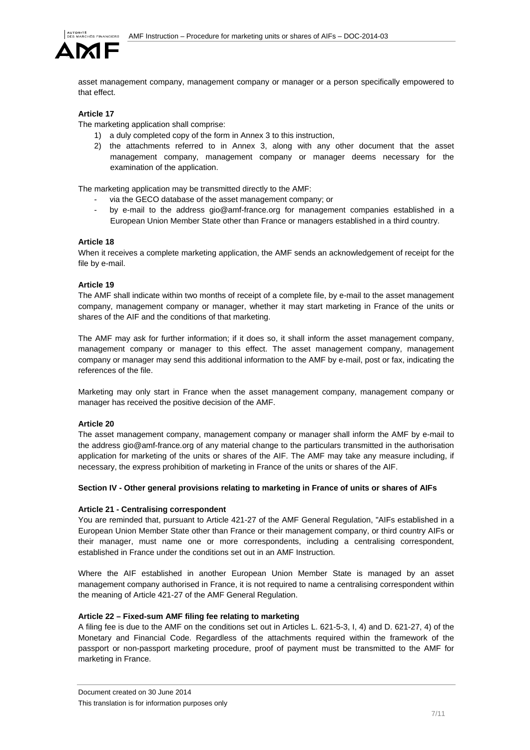

asset management company, management company or manager or a person specifically empowered to that effect.

# **Article 17**

The marketing application shall comprise:

- 1) a duly completed copy of the form in Annex 3 to this instruction,
- 2) the attachments referred to in Annex 3, along with any other document that the asset management company, management company or manager deems necessary for the examination of the application.

The marketing application may be transmitted directly to the AMF:

- via the GECO database of the asset management company; or
- by e-mail to the address gio@amf-france.org for management companies established in a European Union Member State other than France or managers established in a third country.

# **Article 18**

When it receives a complete marketing application, the AMF sends an acknowledgement of receipt for the file by e-mail.

## **Article 19**

The AMF shall indicate within two months of receipt of a complete file, by e-mail to the asset management company, management company or manager, whether it may start marketing in France of the units or shares of the AIF and the conditions of that marketing.

The AMF may ask for further information; if it does so, it shall inform the asset management company, management company or manager to this effect. The asset management company, management company or manager may send this additional information to the AMF by e-mail, post or fax, indicating the references of the file.

Marketing may only start in France when the asset management company, management company or manager has received the positive decision of the AMF.

# **Article 20**

The asset management company, management company or manager shall inform the AMF by e-mail to the address gio@amf-france.org of any material change to the particulars transmitted in the authorisation application for marketing of the units or shares of the AIF. The AMF may take any measure including, if necessary, the express prohibition of marketing in France of the units or shares of the AIF.

# **Section IV - Other general provisions relating to marketing in France of units or shares of AIFs**

# **Article 21 - Centralising correspondent**

You are reminded that, pursuant to Article 421-27 of the AMF General Regulation, "AIFs established in a European Union Member State other than France or their management company, or third country AIFs or their manager, must name one or more correspondents, including a centralising correspondent, established in France under the conditions set out in an AMF Instruction.

Where the AIF established in another European Union Member State is managed by an asset management company authorised in France, it is not required to name a centralising correspondent within the meaning of Article 421-27 of the AMF General Regulation.

## **Article 22 – Fixed-sum AMF filing fee relating to marketing**

A filing fee is due to the AMF on the conditions set out in Articles L. 621-5-3, I, 4) and D. 621-27, 4) of the Monetary and Financial Code. Regardless of the attachments required within the framework of the passport or non-passport marketing procedure, proof of payment must be transmitted to the AMF for marketing in France.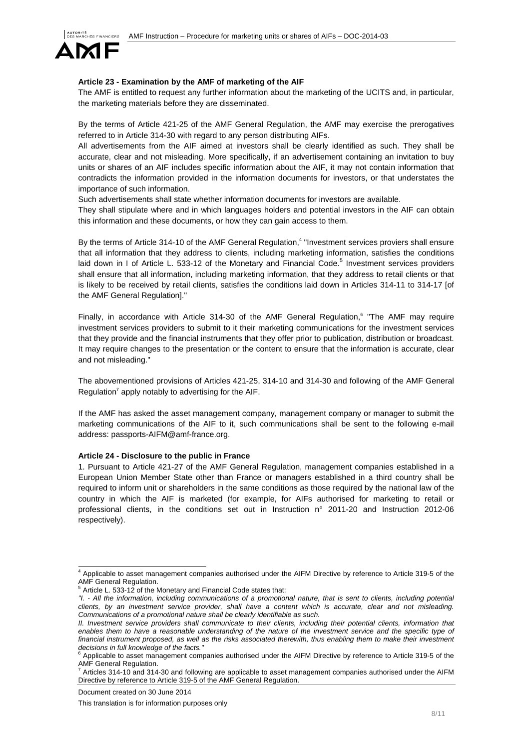

## **Article 23 - Examination by the AMF of marketing of the AIF**

The AMF is entitled to request any further information about the marketing of the UCITS and, in particular, the marketing materials before they are disseminated.

By the terms of Article 421-25 of the AMF General Regulation, the AMF may exercise the prerogatives referred to in Article 314-30 with regard to any person distributing AIFs.

All advertisements from the AIF aimed at investors shall be clearly identified as such. They shall be accurate, clear and not misleading. More specifically, if an advertisement containing an invitation to buy units or shares of an AIF includes specific information about the AIF, it may not contain information that contradicts the information provided in the information documents for investors, or that understates the importance of such information.

Such advertisements shall state whether information documents for investors are available.

They shall stipulate where and in which languages holders and potential investors in the AIF can obtain this information and these documents, or how they can gain access to them.

By the terms of Article 314-10 of the AMF General Regulation,<sup>4</sup> "Investment services proviers shall ensure that all information that they address to clients, including marketing information, satisfies the conditions laid down in I of Article L. 533-12 of the Monetary and Financial Code.<sup>5</sup> Investment services providers shall ensure that all information, including marketing information, that they address to retail clients or that is likely to be received by retail clients, satisfies the conditions laid down in Articles 314-11 to 314-17 [of the AMF General Regulation]."

Finally, in accordance with Article 314-30 of the AMF General Regulation,<sup>6</sup> "The AMF may require investment services providers to submit to it their marketing communications for the investment services that they provide and the financial instruments that they offer prior to publication, distribution or broadcast. It may require changes to the presentation or the content to ensure that the information is accurate, clear and not misleading."

The abovementioned provisions of Articles 421-25, 314-10 and 314-30 and following of the AMF General Regulation<sup>7</sup> apply notably to advertising for the AIF.

If the AMF has asked the asset management company, management company or manager to submit the marketing communications of the AIF to it, such communications shall be sent to the following e-mail address: passports-AIFM@amf-france.org.

#### **Article 24 - Disclosure to the public in France**

1. Pursuant to Article 421-27 of the AMF General Regulation, management companies established in a European Union Member State other than France or managers established in a third country shall be required to inform unit or shareholders in the same conditions as those required by the national law of the country in which the AIF is marketed (for example, for AIFs authorised for marketing to retail or professional clients, in the conditions set out in Instruction n° 2011-20 and Instruction 2012-06 respectively).

Document created on 30 June 2014

 4 Applicable to asset management companies authorised under the AIFM Directive by reference to Article 319-5 of the AMF General Regulation.

Article L. 533-12 of the Monetary and Financial Code states that:

*<sup>&</sup>quot;I. - All the information, including communications of a promotional nature, that is sent to clients, including potential clients, by an investment service provider, shall have a content which is accurate, clear and not misleading. Communications of a promotional nature shall be clearly identifiable as such.* 

*II. Investment service providers shall communicate to their clients, including their potential clients, information that* enables them to have a reasonable understanding of the nature of the investment service and the specific type of *financial instrument proposed, as well as the risks associated therewith, thus enabling them to make their investment decisions in full knowledge of the facts."*

<sup>6</sup> Applicable to asset management companies authorised under the AIFM Directive by reference to Article 319-5 of the AMF General Regulation.<br>
<sup>7</sup> Articles 314, 10 and 314

Articles 314-10 and 314-30 and following are applicable to asset management companies authorised under the AIFM Directive by reference to Article 319-5 of the AMF General Regulation.

This translation is for information purposes only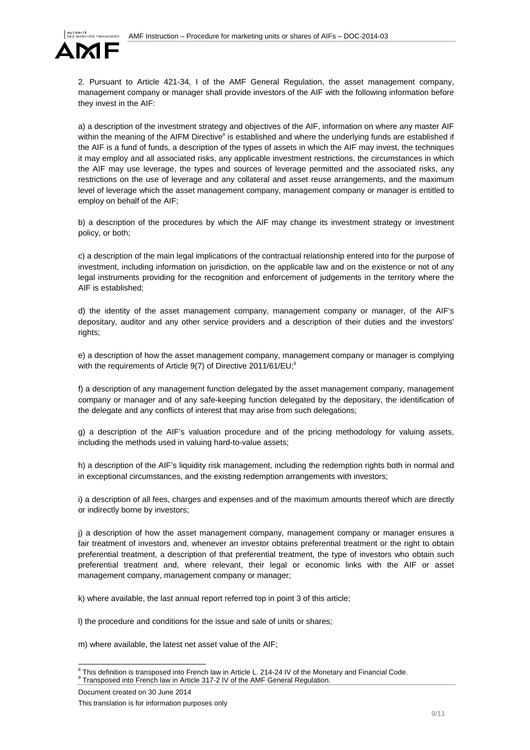

2. Pursuant to Article 421-34, I of the AMF General Regulation, the asset management company, management company or manager shall provide investors of the AIF with the following information before they invest in the AIF:

a) a description of the investment strategy and objectives of the AIF, information on where any master AIF within the meaning of the AIFM Directive<sup>8</sup> is established and where the underlying funds are established if the AIF is a fund of funds, a description of the types of assets in which the AIF may invest, the techniques it may employ and all associated risks, any applicable investment restrictions, the circumstances in which the AIF may use leverage, the types and sources of leverage permitted and the associated risks, any restrictions on the use of leverage and any collateral and asset reuse arrangements, and the maximum level of leverage which the asset management company, management company or manager is entitled to employ on behalf of the AIF;

b) a description of the procedures by which the AIF may change its investment strategy or investment policy, or both;

c) a description of the main legal implications of the contractual relationship entered into for the purpose of investment, including information on jurisdiction, on the applicable law and on the existence or not of any legal instruments providing for the recognition and enforcement of judgements in the territory where the AIF is established;

d) the identity of the asset management company, management company or manager, of the AIF's depositary, auditor and any other service providers and a description of their duties and the investors' rights;

e) a description of how the asset management company, management company or manager is complying with the requirements of Article  $9(7)$  of Directive 2011/61/EU;<sup>9</sup>

f) a description of any management function delegated by the asset management company, management company or manager and of any safe-keeping function delegated by the depositary, the identification of the delegate and any conflicts of interest that may arise from such delegations;

g) a description of the AIF's valuation procedure and of the pricing methodology for valuing assets, including the methods used in valuing hard-to-value assets;

h) a description of the AIF's liquidity risk management, including the redemption rights both in normal and in exceptional circumstances, and the existing redemption arrangements with investors;

i) a description of all fees, charges and expenses and of the maximum amounts thereof which are directly or indirectly borne by investors;

j) a description of how the asset management company, management company or manager ensures a fair treatment of investors and, whenever an investor obtains preferential treatment or the right to obtain preferential treatment, a description of that preferential treatment, the type of investors who obtain such preferential treatment and, where relevant, their legal or economic links with the AIF or asset management company, management company or manager;

k) where available, the last annual report referred top in point 3 of this article;

l) the procedure and conditions for the issue and sale of units or shares;

m) where available, the latest net asset value of the AIF;

<sup>&</sup>lt;sup>8</sup> This definition is transposed into French law in Article L. 214-24 IV of the Monetary and Financial Code. Transposed into French law in Article 317-2 IV of the AMF General Regulation.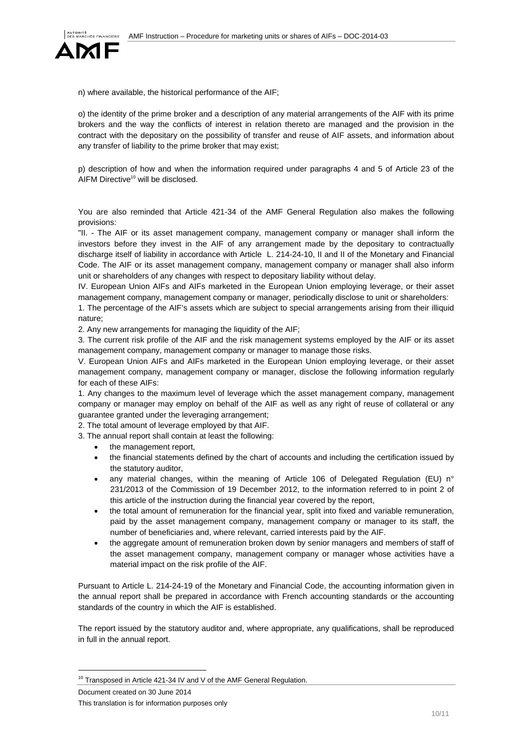

n) where available, the historical performance of the AIF;

o) the identity of the prime broker and a description of any material arrangements of the AIF with its prime brokers and the way the conflicts of interest in relation thereto are managed and the provision in the contract with the depositary on the possibility of transfer and reuse of AIF assets, and information about any transfer of liability to the prime broker that may exist;

p) description of how and when the information required under paragraphs 4 and 5 of Article 23 of the AIFM Directive<sup>10</sup> will be disclosed.

You are also reminded that Article 421-34 of the AMF General Regulation also makes the following provisions:

"II. - The AIF or its asset management company, management company or manager shall inform the investors before they invest in the AIF of any arrangement made by the depositary to contractually discharge itself of liability in accordance with Article L. 214-24-10, II and II of the Monetary and Financial Code. The AIF or its asset management company, management company or manager shall also inform unit or shareholders of any changes with respect to depositary liability without delay.

IV. European Union AIFs and AIFs marketed in the European Union employing leverage, or their asset management company, management company or manager, periodically disclose to unit or shareholders:

1. The percentage of the AIF's assets which are subject to special arrangements arising from their illiquid nature;

2. Any new arrangements for managing the liquidity of the AIF;

3. The current risk profile of the AIF and the risk management systems employed by the AIF or its asset management company, management company or manager to manage those risks.

V. European Union AIFs and AIFs marketed in the European Union employing leverage, or their asset management company, management company or manager, disclose the following information regularly for each of these AIFs:

1. Any changes to the maximum level of leverage which the asset management company, management company or manager may employ on behalf of the AIF as well as any right of reuse of collateral or any guarantee granted under the leveraging arrangement;

2. The total amount of leverage employed by that AIF.

3. The annual report shall contain at least the following:

- the management report,
- the financial statements defined by the chart of accounts and including the certification issued by the statutory auditor,
- any material changes, within the meaning of Article 106 of Delegated Regulation (EU) n° 231/2013 of the Commission of 19 December 2012, to the information referred to in point 2 of this article of the instruction during the financial year covered by the report,
- the total amount of remuneration for the financial year, split into fixed and variable remuneration, paid by the asset management company, management company or manager to its staff, the number of beneficiaries and, where relevant, carried interests paid by the AIF.
- the aggregate amount of remuneration broken down by senior managers and members of staff of the asset management company, management company or manager whose activities have a material impact on the risk profile of the AIF.

Pursuant to Article L. 214-24-19 of the Monetary and Financial Code, the accounting information given in the annual report shall be prepared in accordance with French accounting standards or the accounting standards of the country in which the AIF is established.

The report issued by the statutory auditor and, where appropriate, any qualifications, shall be reproduced in full in the annual report.

Document created on 30 June 2014

l

<sup>&</sup>lt;sup>10</sup> Transposed in Article 421-34 IV and V of the AMF General Regulation.

This translation is for information purposes only